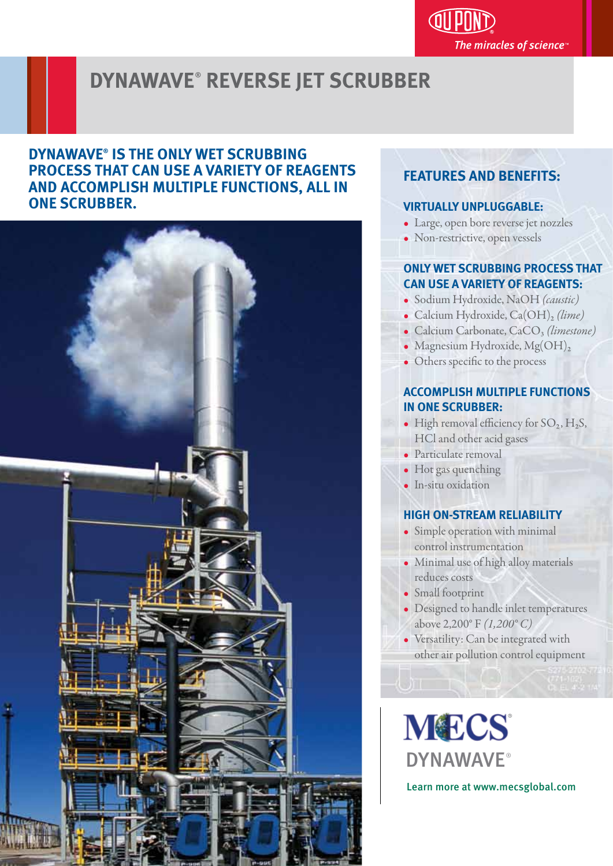The miracles of science<sup>®</sup>

## **DYNAWAVE**® **REVERSE JET SCRUBBER**

## **DYNAWAVE® IS THE ONLY WET SCRUBBING PROCESS THAT CAN USE A VARIETY OF REAGENTS AND ACCOMPLISH MULTIPLE FUNCTIONS, ALL IN ONE SCRUBBER.**



## **FEATURES AND BENEFITS:**

### **VIRTUALLY UNPLUGGABLE:**

- Large, open bore reverse jet nozzles
- Non-restrictive, open vessels

### **ONLY WET SCRUBBING PROCESS THAT CAN USE A VARIETY OF REAGENTS:**

- Sodium Hydroxide, NaOH *(caustic)*
- Calcium Hydroxide, Ca(OH)<sub>2</sub> (lime)
- Calcium Carbonate, CaCO<sub>3</sub> (limestone)
- Magnesium Hydroxide, Mg(OH)<sub>2</sub>
- Others specific to the process

### **ACCOMPLISH MULTIPLE FUNCTIONS IN ONE SCRUBBER:**

- High removal efficiency for  $SO_2$ ,  $H_2S$ , HCl and other acid gases
- Particulate removal
- Hot gas quenching
- In-situ oxidation

### **HIGH ON-STREAM RELIABILITY**

- Simple operation with minimal control instrumentation
- Minimal use of high alloy materials reduces costs
- Small footprint
- Designed to handle inlet temperatures above 2,200° F *(1,200° C)*
- Versatility: Can be integrated with other air pollution control equipment

**MECS DYNAWAVE®** 

Learn more at www.mecsglobal.com